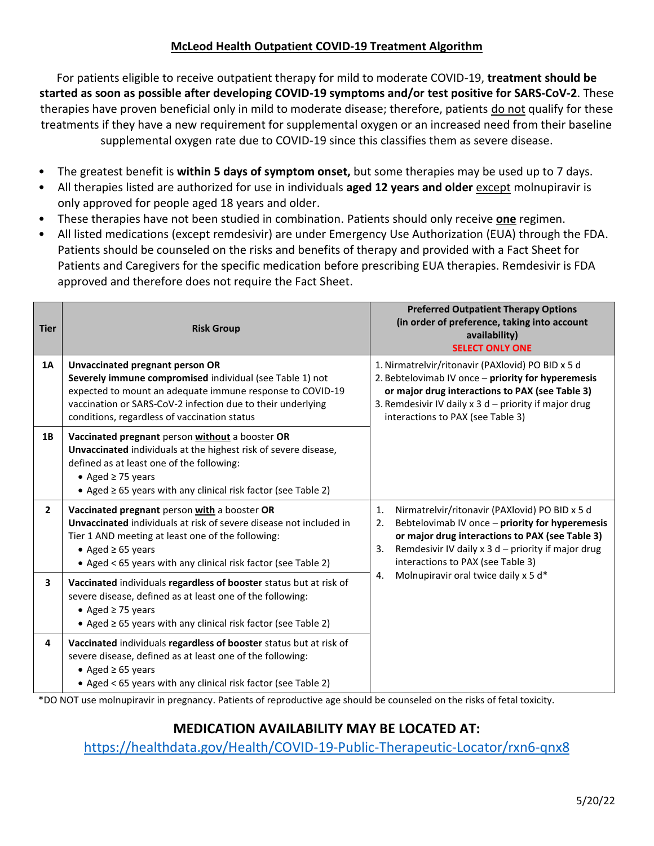### **McLeod Health Outpatient COVID-19 Treatment Algorithm**

For patients eligible to receive outpatient therapy for mild to moderate COVID-19, **treatment should be started as soon as possible after developing COVID-19 symptoms and/or test positive for SARS-CoV-2**. These therapies have proven beneficial only in mild to moderate disease; therefore, patients do not qualify for these treatments if they have a new requirement for supplemental oxygen or an increased need from their baseline supplemental oxygen rate due to COVID-19 since this classifies them as severe disease.

- The greatest benefit is **within 5 days of symptom onset,** but some therapies may be used up to 7 days.
- All therapies listed are authorized for use in individuals **aged 12 years and older** except molnupiravir is only approved for people aged 18 years and older.
- These therapies have not been studied in combination. Patients should only receive **one** regimen.
- All listed medications (except remdesivir) are under Emergency Use Authorization (EUA) through the FDA. Patients should be counseled on the risks and benefits of therapy and provided with a Fact Sheet for Patients and Caregivers for the specific medication before prescribing EUA therapies. Remdesivir is FDA approved and therefore does not require the Fact Sheet.

| <b>Tier</b>  | <b>Risk Group</b>                                                                                                                                                                                                                                                       | <b>Preferred Outpatient Therapy Options</b><br>(in order of preference, taking into account<br>availability)<br><b>SELECT ONLY ONE</b>                                                                                                                                                                          |
|--------------|-------------------------------------------------------------------------------------------------------------------------------------------------------------------------------------------------------------------------------------------------------------------------|-----------------------------------------------------------------------------------------------------------------------------------------------------------------------------------------------------------------------------------------------------------------------------------------------------------------|
| <b>1A</b>    | Unvaccinated pregnant person OR<br>Severely immune compromised individual (see Table 1) not<br>expected to mount an adequate immune response to COVID-19<br>vaccination or SARS-CoV-2 infection due to their underlying<br>conditions, regardless of vaccination status | 1. Nirmatrelvir/ritonavir (PAXlovid) PO BID x 5 d<br>2. Bebtelovimab IV once - priority for hyperemesis<br>or major drug interactions to PAX (see Table 3)<br>3. Remdesivir IV daily x 3 d - priority if major drug<br>interactions to PAX (see Table 3)                                                        |
| 1B           | Vaccinated pregnant person without a booster OR<br>Unvaccinated individuals at the highest risk of severe disease,<br>defined as at least one of the following:<br>• Aged $\geq$ 75 years<br>• Aged $\geq$ 65 years with any clinical risk factor (see Table 2)         |                                                                                                                                                                                                                                                                                                                 |
| $\mathbf{2}$ | Vaccinated pregnant person with a booster OR<br>Unvaccinated individuals at risk of severe disease not included in<br>Tier 1 AND meeting at least one of the following:<br>• Aged $\geq 65$ years<br>• Aged < 65 years with any clinical risk factor (see Table 2)      | Nirmatrelvir/ritonavir (PAXlovid) PO BID x 5 d<br>1.<br>Bebtelovimab IV once - priority for hyperemesis<br>2.<br>or major drug interactions to PAX (see Table 3)<br>Remdesivir IV daily x 3 d - priority if major drug<br>3.<br>interactions to PAX (see Table 3)<br>Molnupiravir oral twice daily x 5 d*<br>4. |
| 3            | Vaccinated individuals regardless of booster status but at risk of<br>severe disease, defined as at least one of the following:<br>• Aged $\geq$ 75 years<br>• Aged $\geq 65$ years with any clinical risk factor (see Table 2)                                         |                                                                                                                                                                                                                                                                                                                 |
| 4            | Vaccinated individuals regardless of booster status but at risk of<br>severe disease, defined as at least one of the following:<br>• Aged $\geq 65$ years<br>• Aged < 65 years with any clinical risk factor (see Table 2)                                              |                                                                                                                                                                                                                                                                                                                 |

\*DO NOT use molnupiravir in pregnancy. Patients of reproductive age should be counseled on the risks of fetal toxicity.

## **MEDICATION AVAILABILITY MAY BE LOCATED AT:**

<https://healthdata.gov/Health/COVID-19-Public-Therapeutic-Locator/rxn6-qnx8>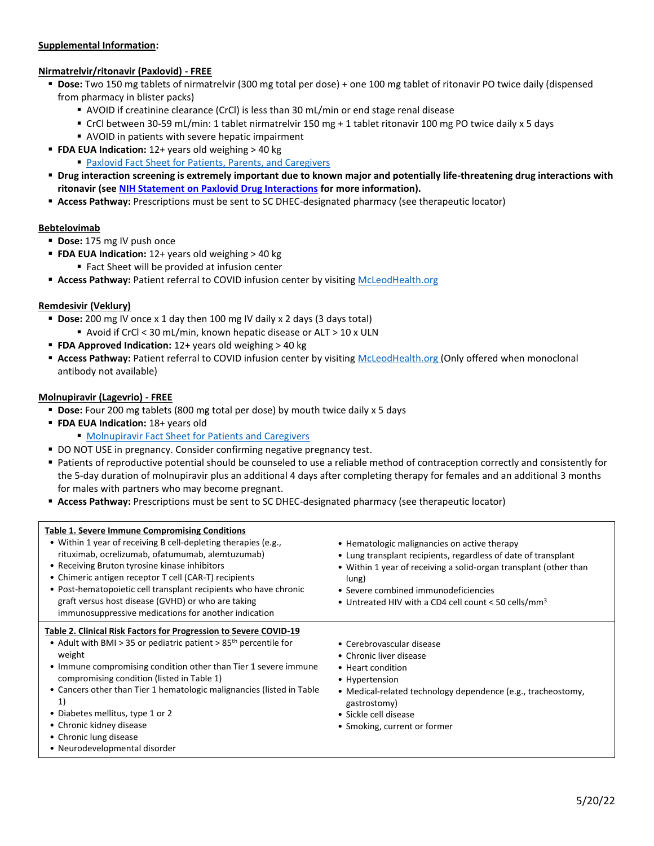#### **Supplemental Information:**

#### **Nirmatrelvir/ritonavir (Paxlovid) - FREE**

- **Dose:** Two 150 mg tablets of nirmatrelvir (300 mg total per dose) + one 100 mg tablet of ritonavir PO twice daily (dispensed from pharmacy in blister packs)
	- AVOID if creatinine clearance (CrCl) is less than 30 mL/min or end stage renal disease
	- CrCl between 30-59 mL/min: 1 tablet nirmatrelvir 150 mg + 1 tablet ritonavir 100 mg PO twice daily x 5 days
	- AVOID in patients with severe hepatic impairment
- **FDA EUA Indication:** 12+ years old weighing > 40 kg
	- **[Paxlovid Fact Sheet for Patients, Parents, and Caregivers](https://www.fda.gov/media/155051/download#:~:text=PAXLOVID%20is%20an%20investigational%20medicine,19%2C%20including%20hospitalization%20or%20death)**
- **Drug interaction screening is extremely important due to known major and potentially life-threatening drug interactions with ritonavir (se[e NIH Statement on Paxlovid Drug Interactions](https://www.covid19treatmentguidelines.nih.gov/therapies/statement-on-paxlovid-drug-drug-interactions/) for more information).**
- **EXECESS Pathway:** Prescriptions must be sent to SC DHEC-designated pharmacy (see therapeutic locator)

#### **Bebtelovimab**

- **Dose:** 175 mg IV push once
- **FDA EUA Indication:** 12+ years old weighing > 40 kg
	- Fact Sheet will be provided at infusion center
- **EXECESS Pathway: Patient referral to COVID infusion center by visiting [McLeodHealth.org](https://www.mcleodhealth.org/coronavirus/forms/infusion-forms/)**

#### **Remdesivir (Veklury)**

- **Dose:** 200 mg IV once x 1 day then 100 mg IV daily x 2 days (3 days total) ■ Avoid if CrCl < 30 mL/min, known hepatic disease or ALT > 10 x ULN
- **FDA Approved Indication:** 12+ years old weighing > 40 kg
- **Example 2 Access Pathway:** Patient referral to COVID infusion center by visiting [McLeodHealth.org](https://www.mcleodhealth.org/coronavirus/forms/infusion-forms/) (Only offered when monoclonal antibody not available)

#### **Molnupiravir (Lagevrio) - FREE**

- **Dose:** Four 200 mg tablets (800 mg total per dose) by mouth twice daily x 5 days
- **FDA EUA Indication:** 18+ years old
	- [Molnupiravir Fact Sheet for Patients and Caregivers](https://www.fda.gov/media/155055/download)
- DO NOT USE in pregnancy. Consider confirming negative pregnancy test.
- Patients of reproductive potential should be counseled to use a reliable method of contraception correctly and consistently for the 5-day duration of molnupiravir plus an additional 4 days after completing therapy for females and an additional 3 months for males with partners who may become pregnant.
- **EXECCES Pathway:** Prescriptions must be sent to SC DHEC-designated pharmacy (see therapeutic locator)

| Table 1. Severe Immune Compromising Conditions<br>• Within 1 year of receiving B cell-depleting therapies (e.g.,<br>rituximab, ocrelizumab, ofatumumab, alemtuzumab)<br>• Receiving Bruton tyrosine kinase inhibitors<br>• Chimeric antigen receptor T cell (CAR-T) recipients<br>• Post-hematopoietic cell transplant recipients who have chronic<br>graft versus host disease (GVHD) or who are taking<br>immunosuppressive medications for another indication             | • Hematologic malignancies on active therapy<br>• Lung transplant recipients, regardless of date of transplant<br>• Within 1 year of receiving a solid-organ transplant (other than<br>lung)<br>• Severe combined immunodeficiencies<br>• Untreated HIV with a CD4 cell count $<$ 50 cells/mm <sup>3</sup> |
|------------------------------------------------------------------------------------------------------------------------------------------------------------------------------------------------------------------------------------------------------------------------------------------------------------------------------------------------------------------------------------------------------------------------------------------------------------------------------|------------------------------------------------------------------------------------------------------------------------------------------------------------------------------------------------------------------------------------------------------------------------------------------------------------|
| Table 2. Clinical Risk Factors for Progression to Severe COVID-19<br>• Adult with BMI > 35 or pediatric patient > $85th$ percentile for<br>weight<br>• Immune compromising condition other than Tier 1 severe immune<br>compromising condition (listed in Table 1)<br>• Cancers other than Tier 1 hematologic malignancies (listed in Table<br>1)<br>• Diabetes mellitus, type 1 or 2<br>• Chronic kidney disease<br>• Chronic lung disease<br>• Neurodevelopmental disorder | • Cerebrovascular disease<br>• Chronic liver disease<br>• Heart condition<br>• Hypertension<br>• Medical-related technology dependence (e.g., tracheostomy,<br>gastrostomy)<br>• Sickle cell disease<br>• Smoking, current or former                                                                       |